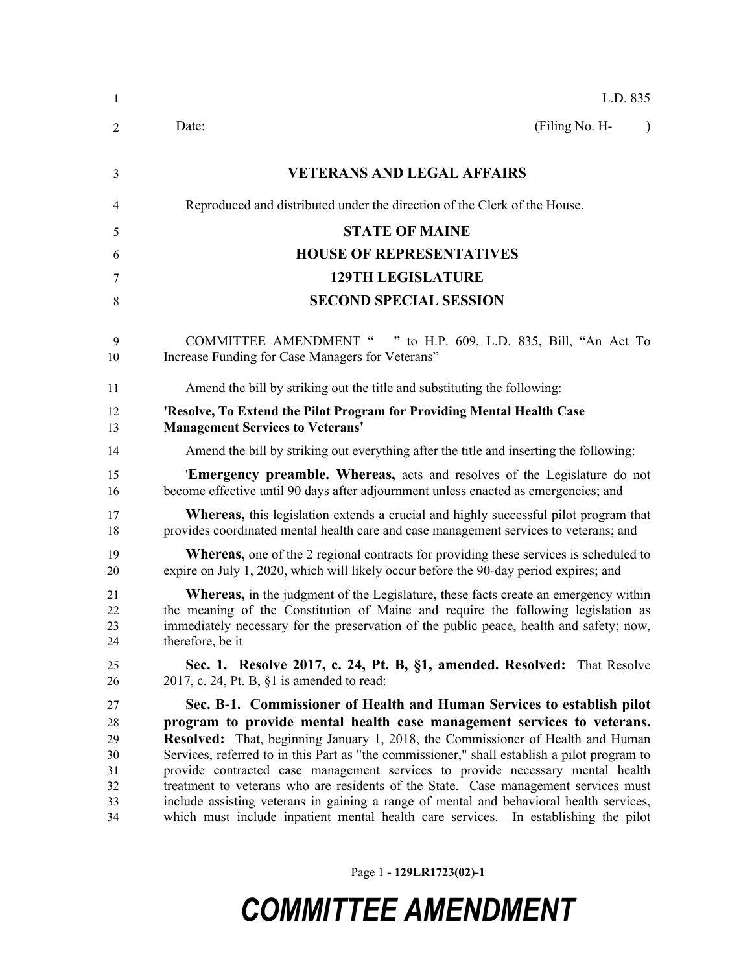| $\mathbf{1}$                                 | L.D. 835                                                                                                                                                                                                                                                                                                                                                                                                                                                                                                                                                                                                                                                                                       |
|----------------------------------------------|------------------------------------------------------------------------------------------------------------------------------------------------------------------------------------------------------------------------------------------------------------------------------------------------------------------------------------------------------------------------------------------------------------------------------------------------------------------------------------------------------------------------------------------------------------------------------------------------------------------------------------------------------------------------------------------------|
| 2                                            | (Filing No. H-<br>Date:<br>$\lambda$                                                                                                                                                                                                                                                                                                                                                                                                                                                                                                                                                                                                                                                           |
| 3                                            | <b>VETERANS AND LEGAL AFFAIRS</b>                                                                                                                                                                                                                                                                                                                                                                                                                                                                                                                                                                                                                                                              |
| 4                                            | Reproduced and distributed under the direction of the Clerk of the House.                                                                                                                                                                                                                                                                                                                                                                                                                                                                                                                                                                                                                      |
| 5                                            | <b>STATE OF MAINE</b>                                                                                                                                                                                                                                                                                                                                                                                                                                                                                                                                                                                                                                                                          |
| 6                                            | <b>HOUSE OF REPRESENTATIVES</b>                                                                                                                                                                                                                                                                                                                                                                                                                                                                                                                                                                                                                                                                |
| 7                                            | <b>129TH LEGISLATURE</b>                                                                                                                                                                                                                                                                                                                                                                                                                                                                                                                                                                                                                                                                       |
| 8                                            | <b>SECOND SPECIAL SESSION</b>                                                                                                                                                                                                                                                                                                                                                                                                                                                                                                                                                                                                                                                                  |
| 9<br>10                                      | <b>COMMITTEE AMENDMENT "</b><br>" to H.P. 609, L.D. 835, Bill, "An Act To<br>Increase Funding for Case Managers for Veterans"                                                                                                                                                                                                                                                                                                                                                                                                                                                                                                                                                                  |
| 11                                           | Amend the bill by striking out the title and substituting the following:                                                                                                                                                                                                                                                                                                                                                                                                                                                                                                                                                                                                                       |
| 12<br>13                                     | 'Resolve, To Extend the Pilot Program for Providing Mental Health Case<br><b>Management Services to Veterans'</b>                                                                                                                                                                                                                                                                                                                                                                                                                                                                                                                                                                              |
| 14                                           | Amend the bill by striking out everything after the title and inserting the following:                                                                                                                                                                                                                                                                                                                                                                                                                                                                                                                                                                                                         |
| 15<br>16                                     | <b>Emergency preamble. Whereas,</b> acts and resolves of the Legislature do not<br>become effective until 90 days after adjournment unless enacted as emergencies; and                                                                                                                                                                                                                                                                                                                                                                                                                                                                                                                         |
| 17<br>18                                     | <b>Whereas</b> , this legislation extends a crucial and highly successful pilot program that<br>provides coordinated mental health care and case management services to veterans; and                                                                                                                                                                                                                                                                                                                                                                                                                                                                                                          |
| 19<br>20                                     | <b>Whereas,</b> one of the 2 regional contracts for providing these services is scheduled to<br>expire on July 1, 2020, which will likely occur before the 90-day period expires; and                                                                                                                                                                                                                                                                                                                                                                                                                                                                                                          |
| 21<br>22<br>23<br>24                         | <b>Whereas,</b> in the judgment of the Legislature, these facts create an emergency within<br>the meaning of the Constitution of Maine and require the following legislation as<br>immediately necessary for the preservation of the public peace, health and safety; now,<br>therefore, be it                                                                                                                                                                                                                                                                                                                                                                                                 |
| 25<br>26                                     | Sec. 1. Resolve 2017, c. 24, Pt. B, §1, amended. Resolved: That Resolve<br>2017, c. 24, Pt. B, $\S1$ is amended to read:                                                                                                                                                                                                                                                                                                                                                                                                                                                                                                                                                                       |
| 27<br>28<br>29<br>30<br>31<br>32<br>33<br>34 | Sec. B-1. Commissioner of Health and Human Services to establish pilot<br>program to provide mental health case management services to veterans.<br>Resolved: That, beginning January 1, 2018, the Commissioner of Health and Human<br>Services, referred to in this Part as "the commissioner," shall establish a pilot program to<br>provide contracted case management services to provide necessary mental health<br>treatment to veterans who are residents of the State. Case management services must<br>include assisting veterans in gaining a range of mental and behavioral health services,<br>which must include inpatient mental health care services. In establishing the pilot |

Page 1 **- 129LR1723(02)-1**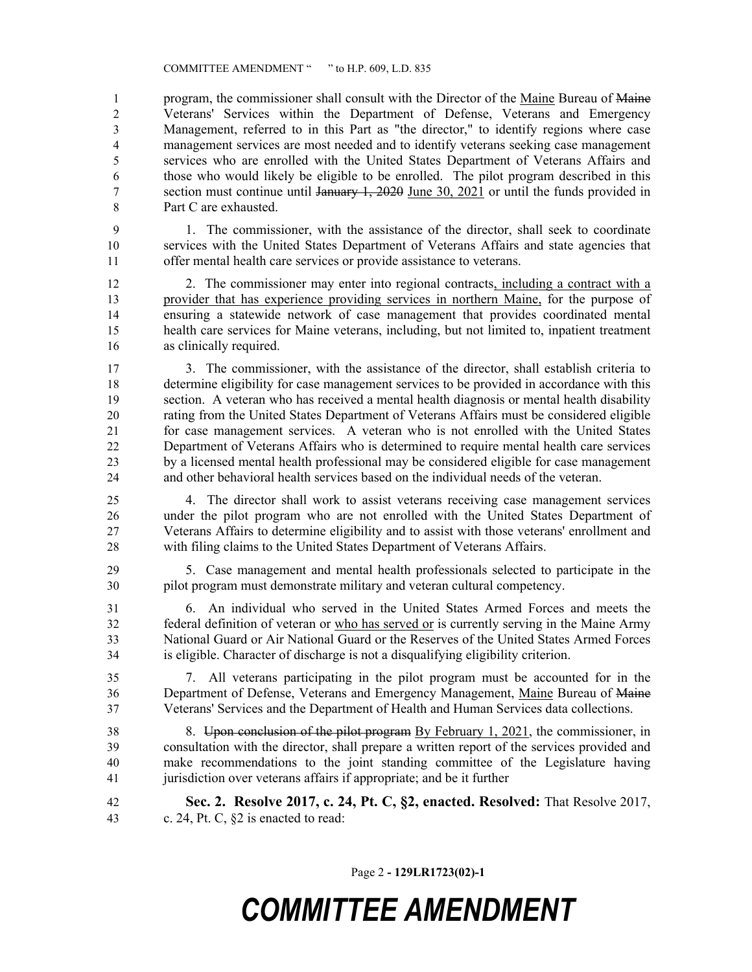program, the commissioner shall consult with the Director of the Maine Bureau of Maine Veterans' Services within the Department of Defense, Veterans and Emergency Management, referred to in this Part as "the director," to identify regions where case management services are most needed and to identify veterans seeking case management services who are enrolled with the United States Department of Veterans Affairs and those who would likely be eligible to be enrolled. The pilot program described in this section must continue until January 1, 2020 June 30, 2021 or until the funds provided in Part C are exhausted.

 1. The commissioner, with the assistance of the director, shall seek to coordinate services with the United States Department of Veterans Affairs and state agencies that offer mental health care services or provide assistance to veterans.

 2. The commissioner may enter into regional contracts, including a contract with a provider that has experience providing services in northern Maine, for the purpose of ensuring a statewide network of case management that provides coordinated mental health care services for Maine veterans, including, but not limited to, inpatient treatment as clinically required.

 3. The commissioner, with the assistance of the director, shall establish criteria to determine eligibility for case management services to be provided in accordance with this section. A veteran who has received a mental health diagnosis or mental health disability rating from the United States Department of Veterans Affairs must be considered eligible for case management services. A veteran who is not enrolled with the United States Department of Veterans Affairs who is determined to require mental health care services by a licensed mental health professional may be considered eligible for case management and other behavioral health services based on the individual needs of the veteran.

 4. The director shall work to assist veterans receiving case management services under the pilot program who are not enrolled with the United States Department of Veterans Affairs to determine eligibility and to assist with those veterans' enrollment and with filing claims to the United States Department of Veterans Affairs.

 5. Case management and mental health professionals selected to participate in the pilot program must demonstrate military and veteran cultural competency.

 6. An individual who served in the United States Armed Forces and meets the federal definition of veteran or who has served or is currently serving in the Maine Army National Guard or Air National Guard or the Reserves of the United States Armed Forces is eligible. Character of discharge is not a disqualifying eligibility criterion.

 7. All veterans participating in the pilot program must be accounted for in the Department of Defense, Veterans and Emergency Management, Maine Bureau of Maine Veterans' Services and the Department of Health and Human Services data collections.

 8. Upon conclusion of the pilot program By February 1, 2021, the commissioner, in consultation with the director, shall prepare a written report of the services provided and make recommendations to the joint standing committee of the Legislature having jurisdiction over veterans affairs if appropriate; and be it further

 **Sec. 2. Resolve 2017, c. 24, Pt. C, §2, enacted. Resolved:** That Resolve 2017, c. 24, Pt. C, §2 is enacted to read:

Page 2 **- 129LR1723(02)-1**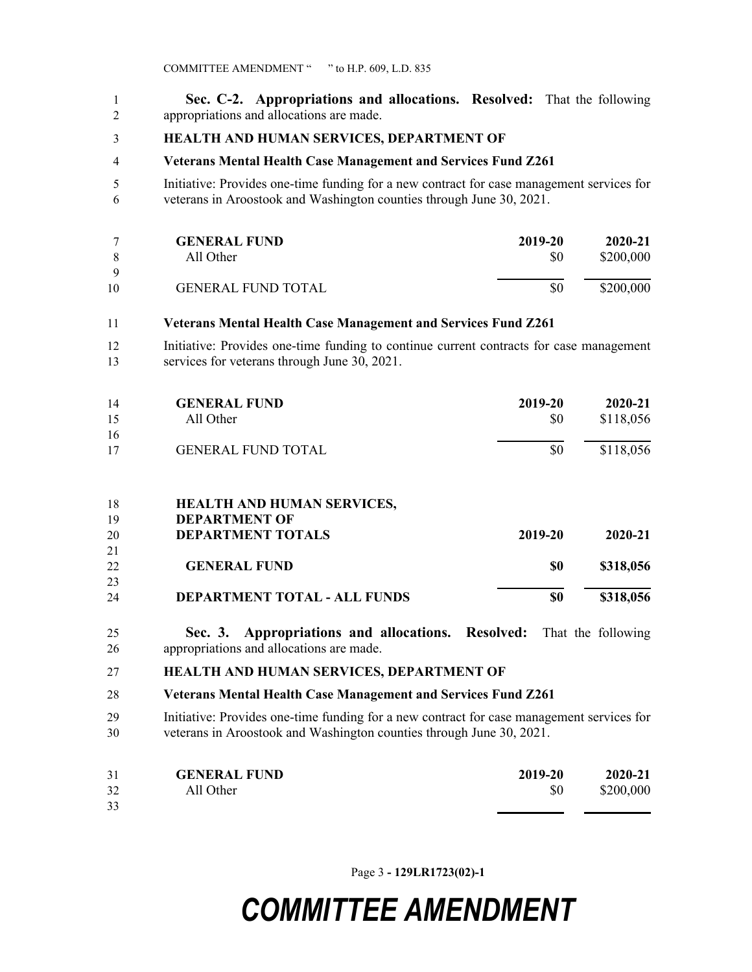**Sec. C-2. Appropriations and allocations. Resolved:** That the following appropriations and allocations are made.

### **HEALTH AND HUMAN SERVICES, DEPARTMENT OF**

#### **Veterans Mental Health Case Management and Services Fund Z261**

 Initiative: Provides one-time funding for a new contract for case management services for veterans in Aroostook and Washington counties through June 30, 2021.

| 8         | <b>GENERAL FUND</b>       | 2019-20 | 2020-21   |
|-----------|---------------------------|---------|-----------|
|           | All Other                 | \$0     | \$200,000 |
| - Q<br>10 | <b>GENERAL FUND TOTAL</b> | \$0     | \$200,000 |

#### **Veterans Mental Health Case Management and Services Fund Z261**

 Initiative: Provides one-time funding to continue current contracts for case management services for veterans through June 30, 2021.

| 14 | <b>GENERAL FUND</b>       | 2019-20 | 2020-21   |
|----|---------------------------|---------|-----------|
| 15 | All Other                 | \$0     | \$118,056 |
| 16 |                           |         |           |
| 17 | <b>GENERAL FUND TOTAL</b> | \$0     | \$118,056 |

#### **HEALTH AND HUMAN SERVICES,**

| 19 | <b>DEPARTMENT OF</b>                |         |           |
|----|-------------------------------------|---------|-----------|
| 20 | <b>DEPARTMENT TOTALS</b>            | 2019-20 | 2020-21   |
| 21 |                                     |         |           |
| 22 | <b>GENERAL FUND</b>                 | SO      | \$318,056 |
| 23 |                                     |         |           |
| 24 | <b>DEPARTMENT TOTAL - ALL FUNDS</b> | \$0     | \$318,056 |

 **Sec. 3. Appropriations and allocations. Resolved:** That the following appropriations and allocations are made.

#### **HEALTH AND HUMAN SERVICES, DEPARTMENT OF**

#### **Veterans Mental Health Case Management and Services Fund Z261**

 Initiative: Provides one-time funding for a new contract for case management services for veterans in Aroostook and Washington counties through June 30, 2021.

| 31 | <b>GENERAL FUND</b> | 2019-20 | 2020-21   |
|----|---------------------|---------|-----------|
| 32 | All Other           | \$0     | \$200,000 |
| 33 |                     |         |           |

Page 3 **- 129LR1723(02)-1**